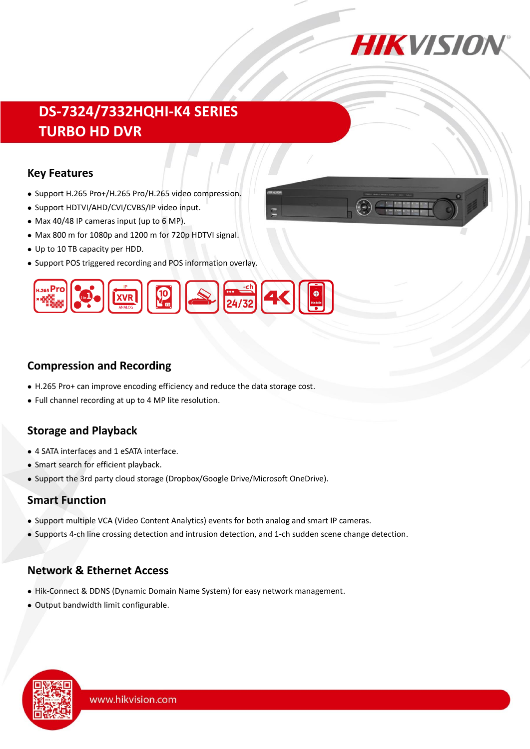

# **DS-7324/7332HQHI-K4 SERIES TURBO HD DVR**

#### **Key Features**

- Support H.265 Pro+/H.265 Pro/H.265 video compression.
- Support HDTVI/AHD/CVI/CVBS/IP video input.
- Max 40/48 IP cameras input (up to 6 MP).
- Max 800 m for 1080p and 1200 m for 720p HDTVI signal.
- Up to 10 TB capacity per HDD.
- Support POS triggered recording and POS information overlay.



### **Compression and Recording**

- H.265 Pro+ can improve encoding efficiency and reduce the data storage cost.
- Full channel recording at up to 4 MP lite resolution.

### **Storage and Playback**

- 4 SATA interfaces and 1 eSATA interface.
- Smart search for efficient playback.
- Support the 3rd party cloud storage (Dropbox/Google Drive/Microsoft OneDrive).

#### **Smart Function**

- Support multiple VCA (Video Content Analytics) events for both analog and smart IP cameras.
- Supports 4-ch line crossing detection and intrusion detection, and 1-ch sudden scene change detection.

### **Network & Ethernet Access**

- Hik-Connect & DDNS (Dynamic Domain Name System) for easy network management.
- Output bandwidth limit configurable.

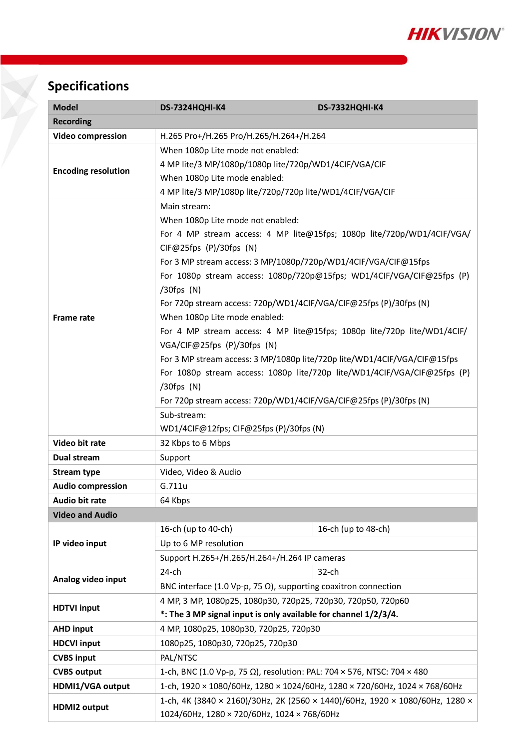

# **Specifications**

| <b>Model</b>               | <b>DS-7324HQHI-K4</b>                                                            | DS-7332HQHI-K4      |  |  |  |
|----------------------------|----------------------------------------------------------------------------------|---------------------|--|--|--|
| <b>Recording</b>           |                                                                                  |                     |  |  |  |
| <b>Video compression</b>   | H.265 Pro+/H.265 Pro/H.265/H.264+/H.264                                          |                     |  |  |  |
|                            | When 1080p Lite mode not enabled:                                                |                     |  |  |  |
| <b>Encoding resolution</b> | 4 MP lite/3 MP/1080p/1080p lite/720p/WD1/4CIF/VGA/CIF                            |                     |  |  |  |
|                            | When 1080p Lite mode enabled:                                                    |                     |  |  |  |
|                            | 4 MP lite/3 MP/1080p lite/720p/720p lite/WD1/4CIF/VGA/CIF                        |                     |  |  |  |
| <b>Frame rate</b>          | Main stream:                                                                     |                     |  |  |  |
|                            | When 1080p Lite mode not enabled:                                                |                     |  |  |  |
|                            | For 4 MP stream access: 4 MP lite@15fps; 1080p lite/720p/WD1/4CIF/VGA/           |                     |  |  |  |
|                            | $CIF@25fps$ (P)/30fps (N)                                                        |                     |  |  |  |
|                            | For 3 MP stream access: 3 MP/1080p/720p/WD1/4CIF/VGA/CIF@15fps                   |                     |  |  |  |
|                            | For 1080p stream access: 1080p/720p@15fps; WD1/4CIF/VGA/CIF@25fps (P)            |                     |  |  |  |
|                            | $/30$ fps $(N)$                                                                  |                     |  |  |  |
|                            | For 720p stream access: 720p/WD1/4CIF/VGA/CIF@25fps (P)/30fps (N)                |                     |  |  |  |
|                            | When 1080p Lite mode enabled:                                                    |                     |  |  |  |
|                            | For 4 MP stream access: 4 MP lite@15fps; 1080p lite/720p lite/WD1/4CIF/          |                     |  |  |  |
|                            | VGA/CIF@25fps (P)/30fps (N)                                                      |                     |  |  |  |
|                            | For 3 MP stream access: 3 MP/1080p lite/720p lite/WD1/4CIF/VGA/CIF@15fps         |                     |  |  |  |
|                            | For 1080p stream access: 1080p lite/720p lite/WD1/4CIF/VGA/CIF@25fps (P)         |                     |  |  |  |
|                            | $/30$ fps $(N)$                                                                  |                     |  |  |  |
|                            | For 720p stream access: 720p/WD1/4CIF/VGA/CIF@25fps (P)/30fps (N)<br>Sub-stream: |                     |  |  |  |
|                            | WD1/4CIF@12fps; CIF@25fps (P)/30fps (N)                                          |                     |  |  |  |
| Video bit rate             | 32 Kbps to 6 Mbps                                                                |                     |  |  |  |
| Dual stream                | Support                                                                          |                     |  |  |  |
| <b>Stream type</b>         | Video, Video & Audio                                                             |                     |  |  |  |
| <b>Audio compression</b>   | G.711u                                                                           |                     |  |  |  |
| Audio bit rate             | 64 Kbps                                                                          |                     |  |  |  |
| <b>Video and Audio</b>     |                                                                                  |                     |  |  |  |
|                            | 16-ch (up to 40-ch)                                                              | 16-ch (up to 48-ch) |  |  |  |
| IP video input             | Up to 6 MP resolution                                                            |                     |  |  |  |
|                            | Support H.265+/H.265/H.264+/H.264 IP cameras                                     |                     |  |  |  |
|                            | $24$ -ch                                                                         | $32$ -ch            |  |  |  |
| Analog video input         | BNC interface (1.0 Vp-p, 75 $\Omega$ ), supporting coaxitron connection          |                     |  |  |  |
|                            | 4 MP, 3 MP, 1080p25, 1080p30, 720p25, 720p30, 720p50, 720p60                     |                     |  |  |  |
| <b>HDTVI input</b>         | *: The 3 MP signal input is only available for channel 1/2/3/4.                  |                     |  |  |  |
| <b>AHD input</b>           | 4 MP, 1080p25, 1080p30, 720p25, 720p30                                           |                     |  |  |  |
| <b>HDCVI input</b>         | 1080p25, 1080p30, 720p25, 720p30                                                 |                     |  |  |  |
| <b>CVBS input</b>          | PAL/NTSC                                                                         |                     |  |  |  |
| <b>CVBS output</b>         | 1-ch, BNC (1.0 Vp-p, 75 Ω), resolution: PAL: 704 × 576, NTSC: 704 × 480          |                     |  |  |  |
| HDMI1/VGA output           | 1-ch, 1920 × 1080/60Hz, 1280 × 1024/60Hz, 1280 × 720/60Hz, 1024 × 768/60Hz       |                     |  |  |  |
| <b>HDMI2 output</b>        | 1-ch, 4K (3840 × 2160)/30Hz, 2K (2560 × 1440)/60Hz, 1920 × 1080/60Hz, 1280 ×     |                     |  |  |  |
|                            | 1024/60Hz, 1280 × 720/60Hz, 1024 × 768/60Hz                                      |                     |  |  |  |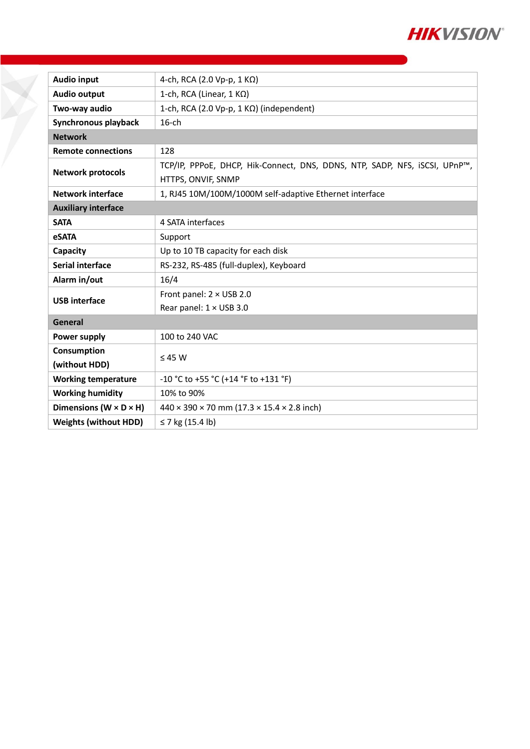

| <b>Audio input</b>                   | 4-ch, RCA (2.0 Vp-p, 1 KΩ)                                                                       |  |  |  |
|--------------------------------------|--------------------------------------------------------------------------------------------------|--|--|--|
| <b>Audio output</b>                  | 1-ch, RCA (Linear, $1 K\Omega$ )                                                                 |  |  |  |
| Two-way audio                        | 1-ch, RCA (2.0 Vp-p, 1 KΩ) (independent)                                                         |  |  |  |
| Synchronous playback                 | $16$ -ch                                                                                         |  |  |  |
| <b>Network</b>                       |                                                                                                  |  |  |  |
| <b>Remote connections</b>            | 128                                                                                              |  |  |  |
| <b>Network protocols</b>             | TCP/IP, PPPoE, DHCP, Hik-Connect, DNS, DDNS, NTP, SADP, NFS, iSCSI, UPnP™,<br>HTTPS, ONVIF, SNMP |  |  |  |
| <b>Network interface</b>             | 1, RJ45 10M/100M/1000M self-adaptive Ethernet interface                                          |  |  |  |
| <b>Auxiliary interface</b>           |                                                                                                  |  |  |  |
| <b>SATA</b>                          | 4 SATA interfaces                                                                                |  |  |  |
| <b>eSATA</b>                         | Support                                                                                          |  |  |  |
| Capacity                             | Up to 10 TB capacity for each disk                                                               |  |  |  |
| <b>Serial interface</b>              | RS-232, RS-485 (full-duplex), Keyboard                                                           |  |  |  |
| Alarm in/out                         | 16/4                                                                                             |  |  |  |
| <b>USB</b> interface                 | Front panel: $2 \times$ USB 2.0                                                                  |  |  |  |
|                                      | Rear panel: 1 × USB 3.0                                                                          |  |  |  |
| General                              |                                                                                                  |  |  |  |
| <b>Power supply</b>                  | 100 to 240 VAC                                                                                   |  |  |  |
| Consumption                          | $\leq 45$ W                                                                                      |  |  |  |
| (without HDD)                        |                                                                                                  |  |  |  |
| <b>Working temperature</b>           | -10 °C to +55 °C (+14 °F to +131 °F)                                                             |  |  |  |
| <b>Working humidity</b>              | 10% to 90%                                                                                       |  |  |  |
| Dimensions ( $W \times D \times H$ ) | $440 \times 390 \times 70$ mm (17.3 $\times$ 15.4 $\times$ 2.8 inch)                             |  |  |  |
| <b>Weights (without HDD)</b>         | ≤ 7 kg $(15.4 \text{ lb})$                                                                       |  |  |  |

X